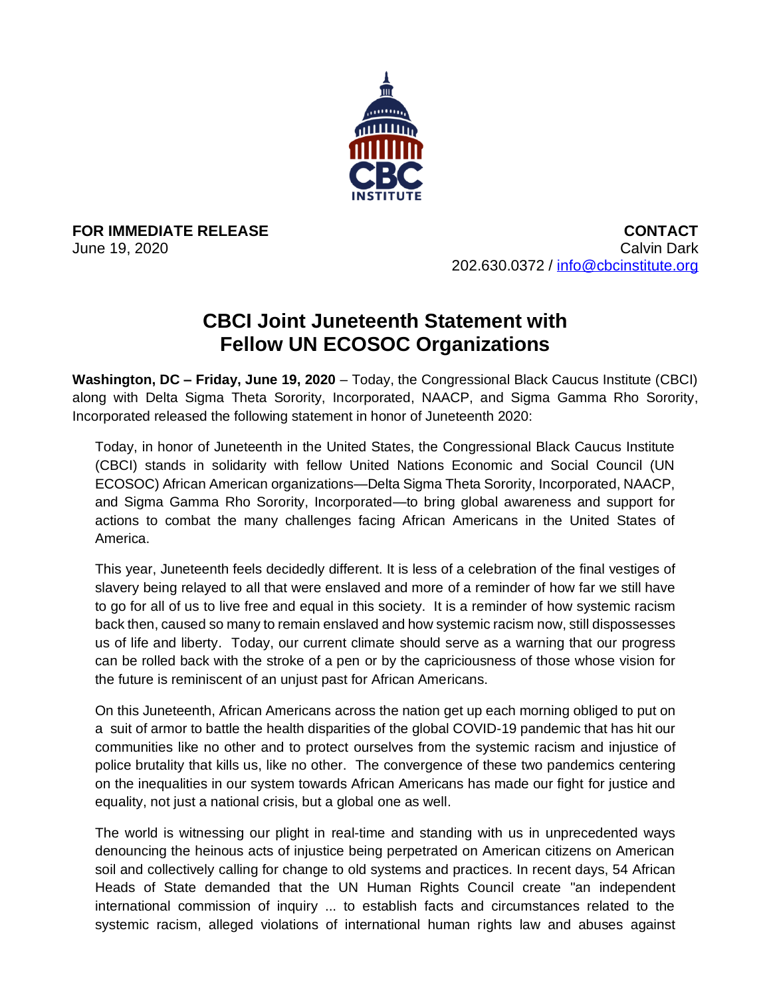

**FOR IMMEDIATE RELEASE**  June 19, 2020

**CONTACT**  Calvin Dark 202.630.0372 / [info@cbcinstitute.org](mailto:info@cbcinstitute.org)

## **CBCI Joint Juneteenth Statement with Fellow UN ECOSOC Organizations**

**Washington, DC – Friday, June 19, 2020** – Today, the Congressional Black Caucus Institute (CBCI) along with Delta Sigma Theta Sorority, Incorporated, NAACP, and Sigma Gamma Rho Sorority, Incorporated released the following statement in honor of Juneteenth 2020:

Today, in honor of Juneteenth in the United States, the Congressional Black Caucus Institute (CBCI) stands in solidarity with fellow United Nations Economic and Social Council (UN ECOSOC) African American organizations—Delta Sigma Theta Sorority, Incorporated, NAACP, and Sigma Gamma Rho Sorority, Incorporated—to bring global awareness and support for actions to combat the many challenges facing African Americans in the United States of America.

This year, Juneteenth feels decidedly different. It is less of a celebration of the final vestiges of slavery being relayed to all that were enslaved and more of a reminder of how far we still have to go for all of us to live free and equal in this society. It is a reminder of how systemic racism back then, caused so many to remain enslaved and how systemic racism now, still dispossesses us of life and liberty. Today, our current climate should serve as a warning that our progress can be rolled back with the stroke of a pen or by the capriciousness of those whose vision for the future is reminiscent of an unjust past for African Americans.

On this Juneteenth, African Americans across the nation get up each morning obliged to put on a suit of armor to battle the health disparities of the global COVID-19 pandemic that has hit our communities like no other and to protect ourselves from the systemic racism and injustice of police brutality that kills us, like no other. The convergence of these two pandemics centering on the inequalities in our system towards African Americans has made our fight for justice and equality, not just a national crisis, but a global one as well.

The world is witnessing our plight in real-time and standing with us in unprecedented ways denouncing the heinous acts of injustice being perpetrated on American citizens on American soil and collectively calling for change to old systems and practices. In recent days, 54 African Heads of State demanded that the UN Human Rights Council create "an independent international commission of inquiry ... to establish facts and circumstances related to the systemic racism, alleged violations of international human rights law and abuses against